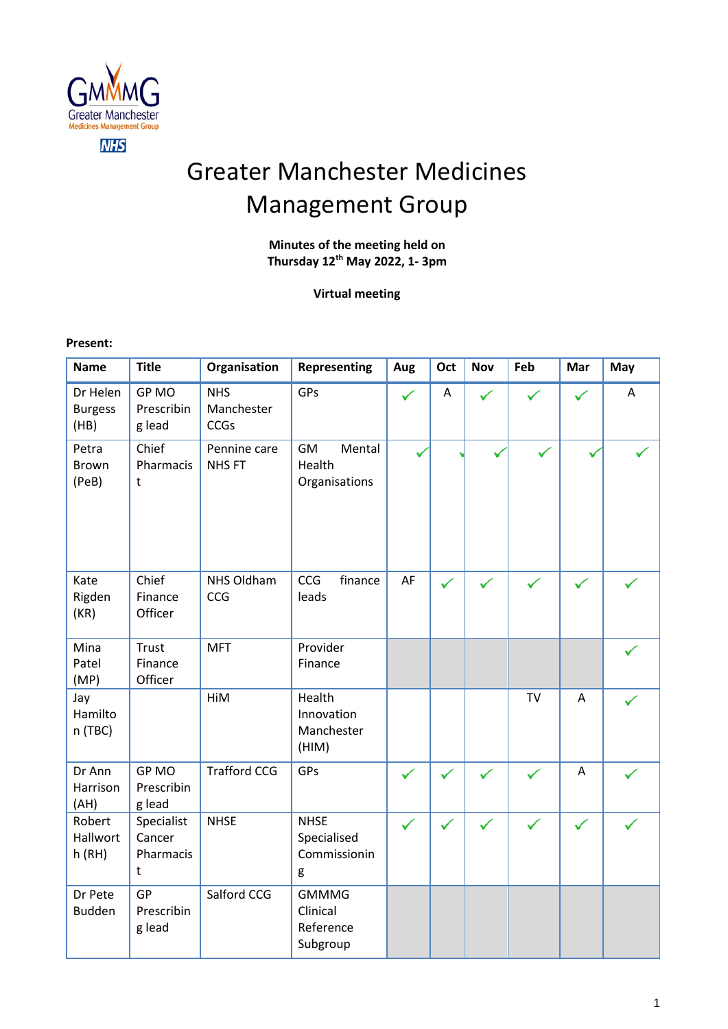

# Greater Manchester Medicines Management Group

# **Minutes of the meeting held on Thursday 12 th May 2022, 1- 3pm**

**Virtual meeting**

**Present:** 

| <b>Name</b>                        | <b>Title</b>                           | Organisation                            | <b>Representing</b>                               | Aug          | Oct          | <b>Nov</b>   | Feb          | Mar          | May |
|------------------------------------|----------------------------------------|-----------------------------------------|---------------------------------------------------|--------------|--------------|--------------|--------------|--------------|-----|
| Dr Helen<br><b>Burgess</b><br>(HB) | <b>GPMO</b><br>Prescribin<br>g lead    | <b>NHS</b><br>Manchester<br><b>CCGs</b> | GPs                                               |              | Α            |              |              |              | A   |
| Petra<br><b>Brown</b><br>(PeB)     | Chief<br>Pharmacis<br>t                | Pennine care<br><b>NHSFT</b>            | GM<br>Mental<br>Health<br>Organisations           |              |              |              |              |              |     |
| Kate<br>Rigden<br>(KR)             | Chief<br>Finance<br>Officer            | NHS Oldham<br>CCG                       | CCG<br>finance<br>leads                           | AF           | ✓            | $\checkmark$ | $\checkmark$ | $\checkmark$ |     |
| Mina<br>Patel<br>(MP)              | <b>Trust</b><br>Finance<br>Officer     | <b>MFT</b>                              | Provider<br>Finance                               |              |              |              |              |              |     |
| Jay<br>Hamilto<br>n (TBC)          |                                        | HiM                                     | Health<br>Innovation<br>Manchester<br>(HIM)       |              |              |              | <b>TV</b>    | $\bigwedge$  |     |
| Dr Ann<br>Harrison<br>(AH)         | GP MO<br>Prescribin<br>g lead          | <b>Trafford CCG</b>                     | GPs                                               |              | ✓            |              |              | $\bigwedge$  |     |
| Robert<br>Hallwort<br>h(RH)        | Specialist<br>Cancer<br>Pharmacis<br>t | <b>NHSE</b>                             | <b>NHSE</b><br>Specialised<br>Commissionin<br>g   | $\checkmark$ | $\checkmark$ | $\checkmark$ | $\checkmark$ | $\checkmark$ |     |
| Dr Pete<br><b>Budden</b>           | <b>GP</b><br>Prescribin<br>g lead      | Salford CCG                             | <b>GMMMG</b><br>Clinical<br>Reference<br>Subgroup |              |              |              |              |              |     |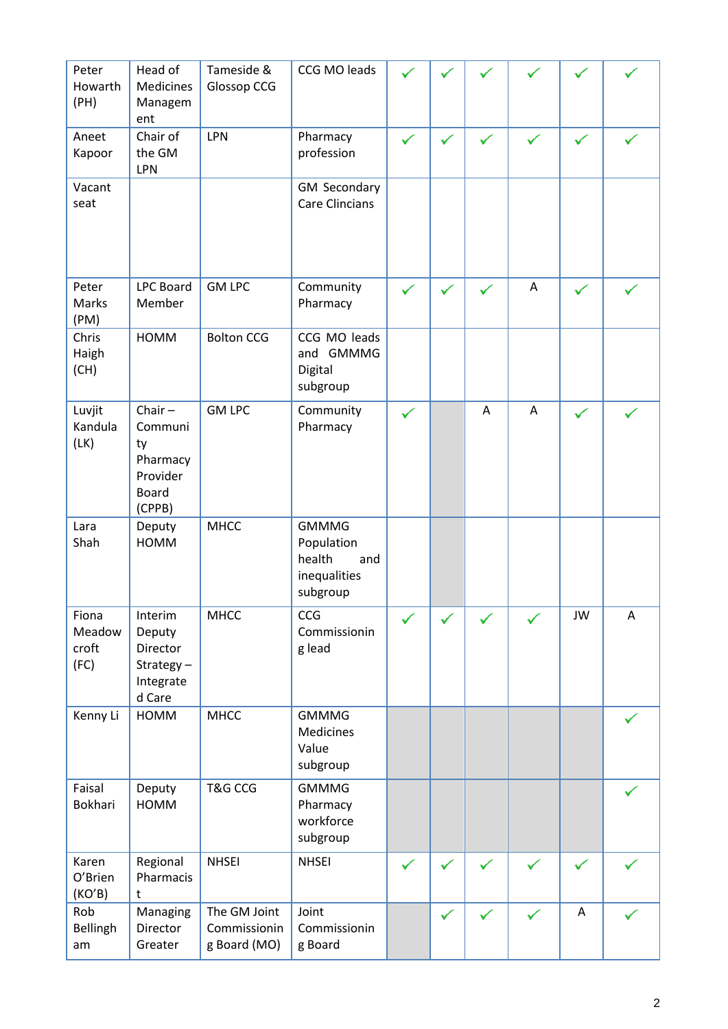| Peter<br>Howarth<br>(PH)         | Head of<br>Medicines<br>Managem<br>ent                                       | Tameside &<br>Glossop CCG                    | CCG MO leads                                                            |              |              |   |   |              |   |
|----------------------------------|------------------------------------------------------------------------------|----------------------------------------------|-------------------------------------------------------------------------|--------------|--------------|---|---|--------------|---|
| Aneet<br>Kapoor                  | Chair of<br>the GM<br>LPN                                                    | LPN                                          | Pharmacy<br>profession                                                  |              | $\checkmark$ |   |   |              |   |
| Vacant<br>seat                   |                                                                              |                                              | <b>GM Secondary</b><br><b>Care Clincians</b>                            |              |              |   |   |              |   |
| Peter<br>Marks<br>(PM)           | <b>LPC Board</b><br>Member                                                   | <b>GM LPC</b>                                | Community<br>Pharmacy                                                   |              | $\checkmark$ |   | A |              |   |
| Chris<br>Haigh<br>(CH)           | <b>HOMM</b>                                                                  | <b>Bolton CCG</b>                            | CCG MO leads<br>and GMMMG<br>Digital<br>subgroup                        |              |              |   |   |              |   |
| Luvjit<br>Kandula<br>(LK)        | Chair $-$<br>Communi<br>ty<br>Pharmacy<br>Provider<br><b>Board</b><br>(CPPB) | <b>GM LPC</b>                                | Community<br>Pharmacy                                                   | $\checkmark$ |              | A | A | $\checkmark$ |   |
| Lara<br>Shah                     | Deputy<br><b>HOMM</b>                                                        | <b>MHCC</b>                                  | <b>GMMMG</b><br>Population<br>health<br>and<br>inequalities<br>subgroup |              |              |   |   |              |   |
| Fiona<br>Meadow<br>croft<br>(FC) | Interim<br>Deputy<br>Director<br>Strategy-<br>Integrate<br>d Care            | <b>MHCC</b>                                  | <b>CCG</b><br>Commissionin<br>g lead                                    |              |              |   |   | JW           | A |
| Kenny Li                         | HOMM                                                                         | <b>MHCC</b>                                  | <b>GMMMG</b><br>Medicines<br>Value<br>subgroup                          |              |              |   |   |              |   |
| Faisal<br>Bokhari                | Deputy<br>HOMM                                                               | <b>T&amp;G CCG</b>                           | <b>GMMMG</b><br>Pharmacy<br>workforce<br>subgroup                       |              |              |   |   |              |   |
| Karen<br>O'Brien<br>(KO'B)       | Regional<br>Pharmacis<br>t                                                   | <b>NHSEI</b>                                 | <b>NHSEI</b>                                                            | $\checkmark$ | $\checkmark$ |   |   |              |   |
| Rob<br><b>Bellingh</b><br>am     | Managing<br>Director<br>Greater                                              | The GM Joint<br>Commissionin<br>g Board (MO) | Joint<br>Commissionin<br>g Board                                        |              | ✓            |   |   | A            |   |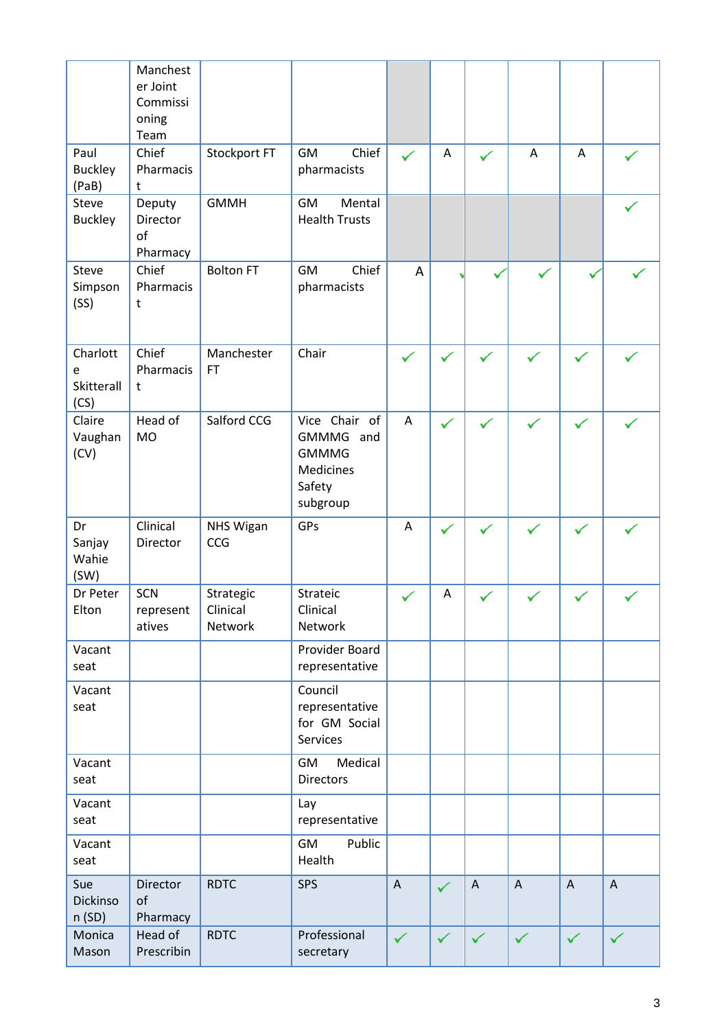|                                     | Manchest<br>er Joint<br>Commissi<br>oning<br>Team |                         |                                                                                      |              |              |                           |                |                           |              |
|-------------------------------------|---------------------------------------------------|-------------------------|--------------------------------------------------------------------------------------|--------------|--------------|---------------------------|----------------|---------------------------|--------------|
| Paul<br><b>Buckley</b><br>(PaB)     | Chief<br>Pharmacis<br>t                           | Stockport FT            | Chief<br>GM<br>pharmacists                                                           |              | A            | ✓                         | $\overline{A}$ | A                         |              |
| Steve<br><b>Buckley</b>             | Deputy<br>Director<br>of<br>Pharmacy              | <b>GMMH</b>             | GM<br>Mental<br><b>Health Trusts</b>                                                 |              |              |                           |                |                           |              |
| Steve<br>Simpson<br>(SS)            | Chief<br>Pharmacis<br>t                           | <b>Bolton FT</b>        | Chief<br>GM<br>pharmacists                                                           | A            |              |                           |                |                           |              |
| Charlott<br>e<br>Skitterall<br>(CS) | Chief<br>Pharmacis<br>t                           | Manchester<br><b>FT</b> | Chair                                                                                | $\checkmark$ | $\checkmark$ | $\checkmark$              |                | $\checkmark$              |              |
| Claire<br>Vaughan<br>(CV)           | Head of<br><b>MO</b>                              | Salford CCG             | Vice Chair of<br>GMMMG and<br><b>GMMMG</b><br><b>Medicines</b><br>Safety<br>subgroup | A            | $\checkmark$ |                           |                | ✓                         |              |
| Dr<br>Sanjay<br>Wahie<br>(SW)       | Clinical<br>Director                              | <b>NHS Wigan</b><br>CCG | GPs                                                                                  | A            | $\checkmark$ |                           |                | $\checkmark$              |              |
| Dr Peter<br>Elton                   | SCN<br>represent                                  | Strategic<br>Clinical   | Strateic<br>Clinical                                                                 |              | Α            |                           |                |                           |              |
|                                     | atives                                            | Network                 | Network                                                                              |              |              |                           |                |                           |              |
| Vacant<br>seat                      |                                                   |                         | Provider Board<br>representative                                                     |              |              |                           |                |                           |              |
| Vacant<br>seat                      |                                                   |                         | Council<br>representative<br>for GM Social<br>Services                               |              |              |                           |                |                           |              |
| Vacant<br>seat                      |                                                   |                         | Medical<br>GM<br><b>Directors</b>                                                    |              |              |                           |                |                           |              |
| Vacant<br>seat                      |                                                   |                         | Lay<br>representative                                                                |              |              |                           |                |                           |              |
| Vacant<br>seat                      |                                                   |                         | Public<br>GM<br>Health                                                               |              |              |                           |                |                           |              |
| Sue<br>Dickinso<br>n(SD)            | Director<br>of<br>Pharmacy                        | <b>RDTC</b>             | <b>SPS</b>                                                                           | $\mathsf{A}$ | $\checkmark$ | $\boldsymbol{\mathsf{A}}$ | $\mathsf{A}$   | $\boldsymbol{\mathsf{A}}$ | $\mathsf{A}$ |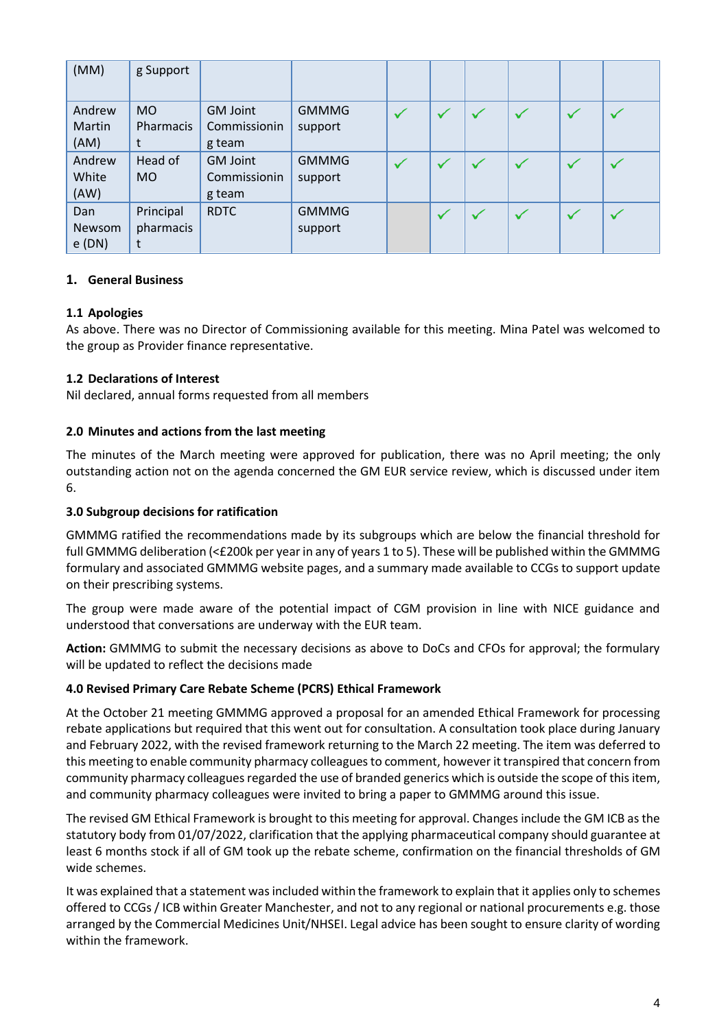| (MM)                     | g Support                   |                                           |                         |  |              |   |  |
|--------------------------|-----------------------------|-------------------------------------------|-------------------------|--|--------------|---|--|
| Andrew<br>Martin<br>(AM) | <b>MO</b><br>Pharmacis<br>t | <b>GM Joint</b><br>Commissionin<br>g team | <b>GMMMG</b><br>support |  |              |   |  |
| Andrew<br>White<br>(AW)  | Head of<br><b>MO</b>        | <b>GM Joint</b><br>Commissionin<br>g team | <b>GMMMG</b><br>support |  |              |   |  |
| Dan<br>Newsom<br>e(DN)   | Principal<br>pharmacis<br>t | <b>RDTC</b>                               | <b>GMMMG</b><br>support |  | $\checkmark$ | ✓ |  |

# **1. General Business**

# **1.1 Apologies**

As above. There was no Director of Commissioning available for this meeting. Mina Patel was welcomed to the group as Provider finance representative.

# **1.2 Declarations of Interest**

Nil declared, annual forms requested from all members

# **2.0 Minutes and actions from the last meeting**

The minutes of the March meeting were approved for publication, there was no April meeting; the only outstanding action not on the agenda concerned the GM EUR service review, which is discussed under item 6.

#### **3.0 Subgroup decisions for ratification**

GMMMG ratified the recommendations made by its subgroups which are below the financial threshold for full GMMMG deliberation (<£200k per year in any of years 1 to 5). These will be published within the GMMMG formulary and associated GMMMG website pages, and a summary made available to CCGs to support update on their prescribing systems.

The group were made aware of the potential impact of CGM provision in line with NICE guidance and understood that conversations are underway with the EUR team.

**Action:** GMMMG to submit the necessary decisions as above to DoCs and CFOs for approval; the formulary will be updated to reflect the decisions made

#### **4.0 Revised Primary Care Rebate Scheme (PCRS) Ethical Framework**

At the October 21 meeting GMMMG approved a proposal for an amended Ethical Framework for processing rebate applications but required that this went out for consultation. A consultation took place during January and February 2022, with the revised framework returning to the March 22 meeting. The item was deferred to this meeting to enable community pharmacy colleagues to comment, however it transpired that concern from community pharmacy colleagues regarded the use of branded generics which is outside the scope of this item, and community pharmacy colleagues were invited to bring a paper to GMMMG around this issue.

The revised GM Ethical Framework is brought to this meeting for approval. Changes include the GM ICB as the statutory body from 01/07/2022, clarification that the applying pharmaceutical company should guarantee at least 6 months stock if all of GM took up the rebate scheme, confirmation on the financial thresholds of GM wide schemes.

It was explained that a statement was included within the framework to explain that it applies only to schemes offered to CCGs / ICB within Greater Manchester, and not to any regional or national procurements e.g. those arranged by the Commercial Medicines Unit/NHSEI. Legal advice has been sought to ensure clarity of wording within the framework.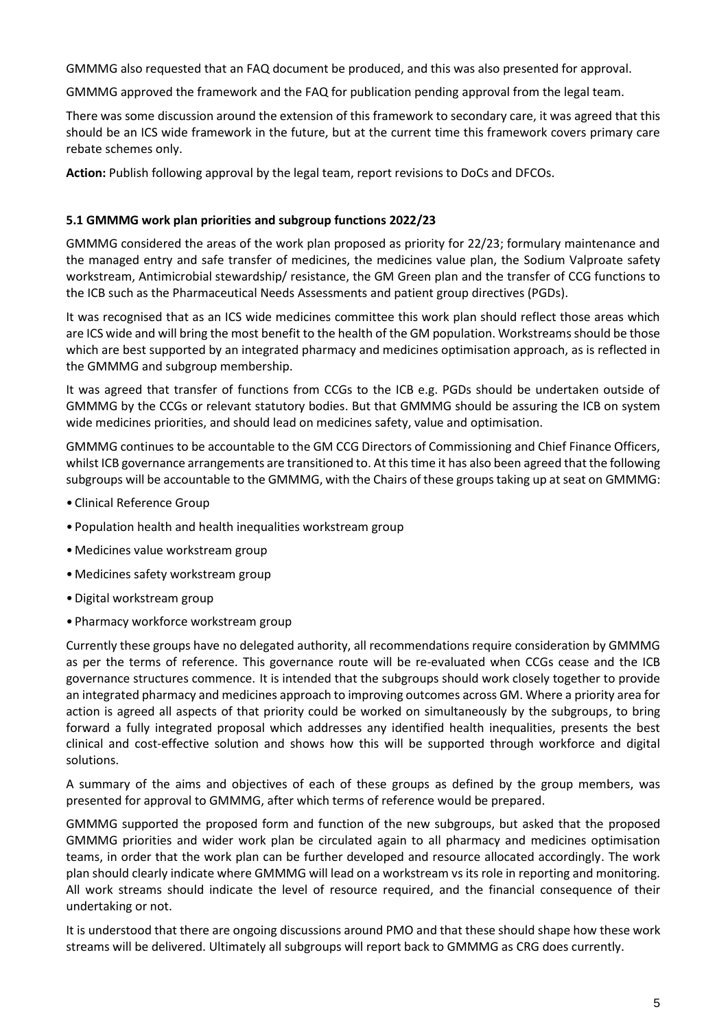GMMMG also requested that an FAQ document be produced, and this was also presented for approval.

GMMMG approved the framework and the FAQ for publication pending approval from the legal team.

There was some discussion around the extension of this framework to secondary care, it was agreed that this should be an ICS wide framework in the future, but at the current time this framework covers primary care rebate schemes only.

**Action:** Publish following approval by the legal team, report revisions to DoCs and DFCOs.

#### **5.1 GMMMG work plan priorities and subgroup functions 2022/23**

GMMMG considered the areas of the work plan proposed as priority for 22/23; formulary maintenance and the managed entry and safe transfer of medicines, the medicines value plan, the Sodium Valproate safety workstream, Antimicrobial stewardship/ resistance, the GM Green plan and the transfer of CCG functions to the ICB such as the Pharmaceutical Needs Assessments and patient group directives (PGDs).

It was recognised that as an ICS wide medicines committee this work plan should reflect those areas which are ICS wide and will bring the most benefit to the health of the GM population. Workstreams should be those which are best supported by an integrated pharmacy and medicines optimisation approach, as is reflected in the GMMMG and subgroup membership.

It was agreed that transfer of functions from CCGs to the ICB e.g. PGDs should be undertaken outside of GMMMG by the CCGs or relevant statutory bodies. But that GMMMG should be assuring the ICB on system wide medicines priorities, and should lead on medicines safety, value and optimisation.

GMMMG continues to be accountable to the GM CCG Directors of Commissioning and Chief Finance Officers, whilst ICB governance arrangements are transitioned to. At this time it has also been agreed that the following subgroups will be accountable to the GMMMG, with the Chairs of these groups taking up at seat on GMMMG:

- Clinical Reference Group
- Population health and health inequalities workstream group
- Medicines value workstream group
- Medicines safety workstream group
- •Digital workstream group
- Pharmacy workforce workstream group

Currently these groups have no delegated authority, all recommendations require consideration by GMMMG as per the terms of reference. This governance route will be re-evaluated when CCGs cease and the ICB governance structures commence. It is intended that the subgroups should work closely together to provide an integrated pharmacy and medicines approach to improving outcomes across GM. Where a priority area for action is agreed all aspects of that priority could be worked on simultaneously by the subgroups, to bring forward a fully integrated proposal which addresses any identified health inequalities, presents the best clinical and cost-effective solution and shows how this will be supported through workforce and digital solutions.

A summary of the aims and objectives of each of these groups as defined by the group members, was presented for approval to GMMMG, after which terms of reference would be prepared.

GMMMG supported the proposed form and function of the new subgroups, but asked that the proposed GMMMG priorities and wider work plan be circulated again to all pharmacy and medicines optimisation teams, in order that the work plan can be further developed and resource allocated accordingly. The work plan should clearly indicate where GMMMG will lead on a workstream vs its role in reporting and monitoring. All work streams should indicate the level of resource required, and the financial consequence of their undertaking or not.

It is understood that there are ongoing discussions around PMO and that these should shape how these work streams will be delivered. Ultimately all subgroups will report back to GMMMG as CRG does currently.